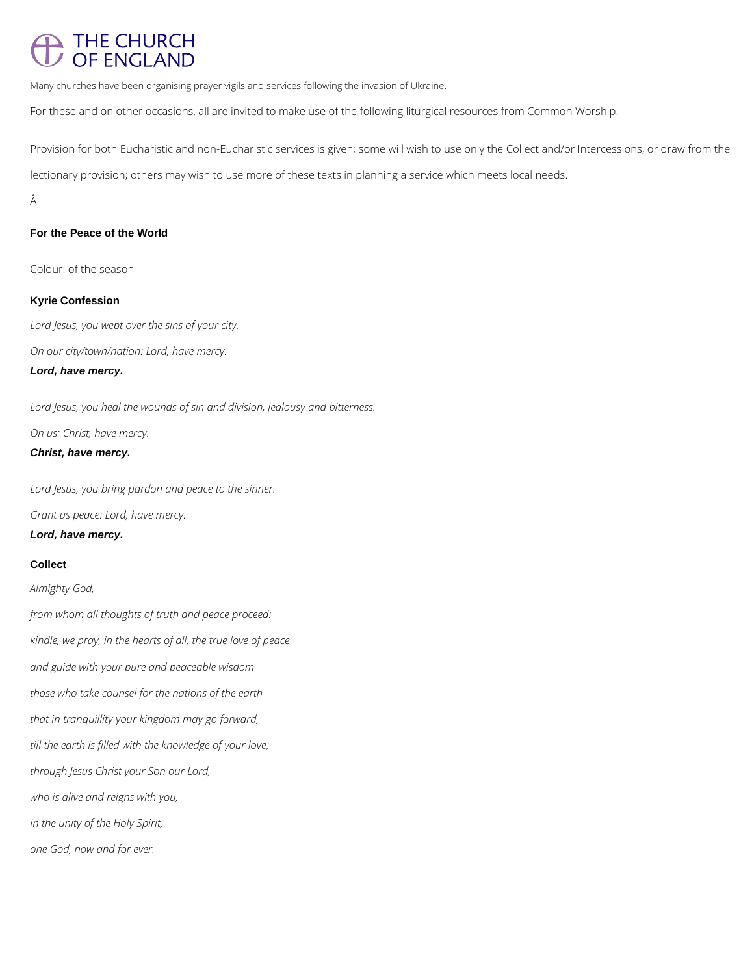# THE CHURCH<br>OF ENGLAND

Many churches have been organising prayer vigils and services following the invasion of Ukraine.

For these and on other occasions, all are invited to make use of the following liturgical resources from Common Worship.

Provision for both Eucharistic and non-Eucharistic services is given; some will wish to use only the Collect and/or Intercessions, or draw from the lectionary provision; others may wish to use more of these texts in planning a service which meets local needs.

Â

### **For the Peace of the World**

Colour: of the season

#### **Kyrie Confession**

*Lord Jesus, you wept over the sins of your city.*

*On our city/town/nation: Lord, have mercy.*

**Lord, have mercy.**

*Lord Jesus, you heal the wounds of sin and division, jealousy and bitterness.*

*On us: Christ, have mercy.*

### **Christ, have mercy.**

*Lord Jesus, you bring pardon and peace to the sinner.*

*Grant us peace: Lord, have mercy.*

**Lord, have mercy.**

### **Collect**

*Almighty God,*

*from whom all thoughts of truth and peace proceed:*

*kindle, we pray, in the hearts of all, the true love of peace*

*and guide with your pure and peaceable wisdom*

*those who take counsel for the nations of the earth*

*that in tranquillity your kingdom may go forward,*

*till the earth is filled with the knowledge of your love;*

*through Jesus Christ your Son our Lord,*

*who is alive and reigns with you,*

*in the unity of the Holy Spirit,*

*one God, now and for ever.*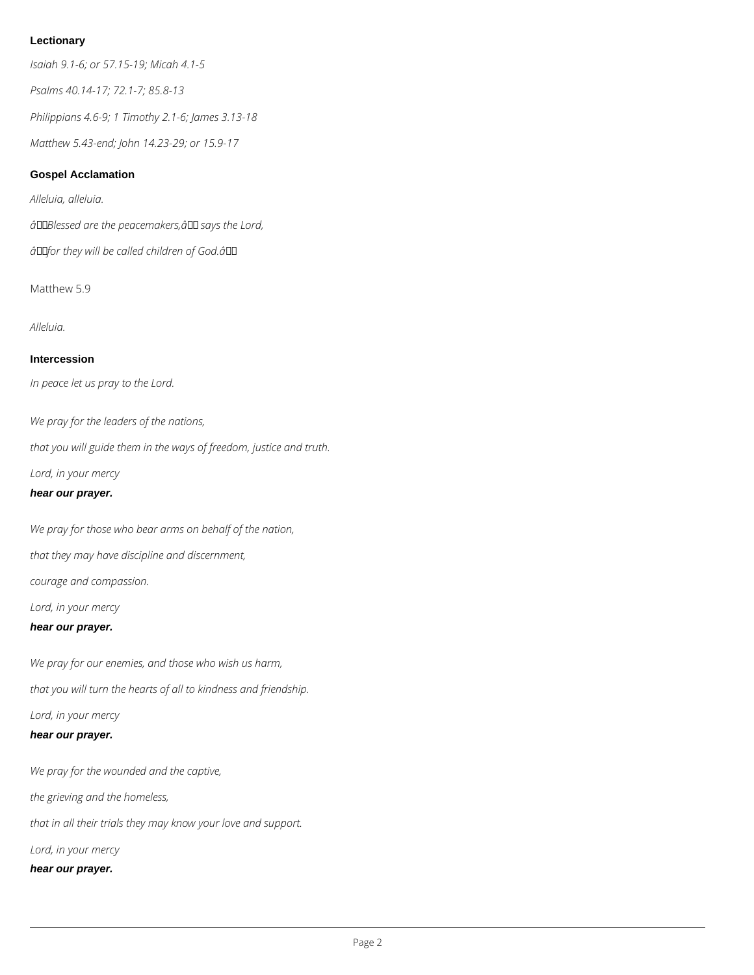# **Lectionary**

*Isaiah 9.1-6; or 57.15-19; Micah 4.1-5*

*Psalms 40.14-17; 72.1-7; 85.8-13*

*Philippians 4.6-9; 1 Timothy 2.1-6; James 3.13-18*

*Matthew 5.43-end; John 14.23-29; or 15.9-17*

# **Gospel Acclamation**

*Alleluia, alleluia.*

 $\hat{a}$ **LIB/essed are the peacemakers,**  $\hat{a}$ **LI says the Lord,** 

*âfor they will be called children of God.â*

Matthew 5.9

*Alleluia.*

# **Intercession**

*In peace let us pray to the Lord.*

*We pray for the leaders of the nations, that you will guide them in the ways of freedom, justice and truth. Lord, in your mercy* **hear our prayer.**

*We pray for those who bear arms on behalf of the nation, that they may have discipline and discernment,*

*courage and compassion.*

*Lord, in your mercy*

# **hear our prayer.**

*We pray for our enemies, and those who wish us harm, that you will turn the hearts of all to kindness and friendship. Lord, in your mercy*

#### **hear our prayer.**

*We pray for the wounded and the captive,*

*the grieving and the homeless,*

*that in all their trials they may know your love and support.*

*Lord, in your mercy*

**hear our prayer.**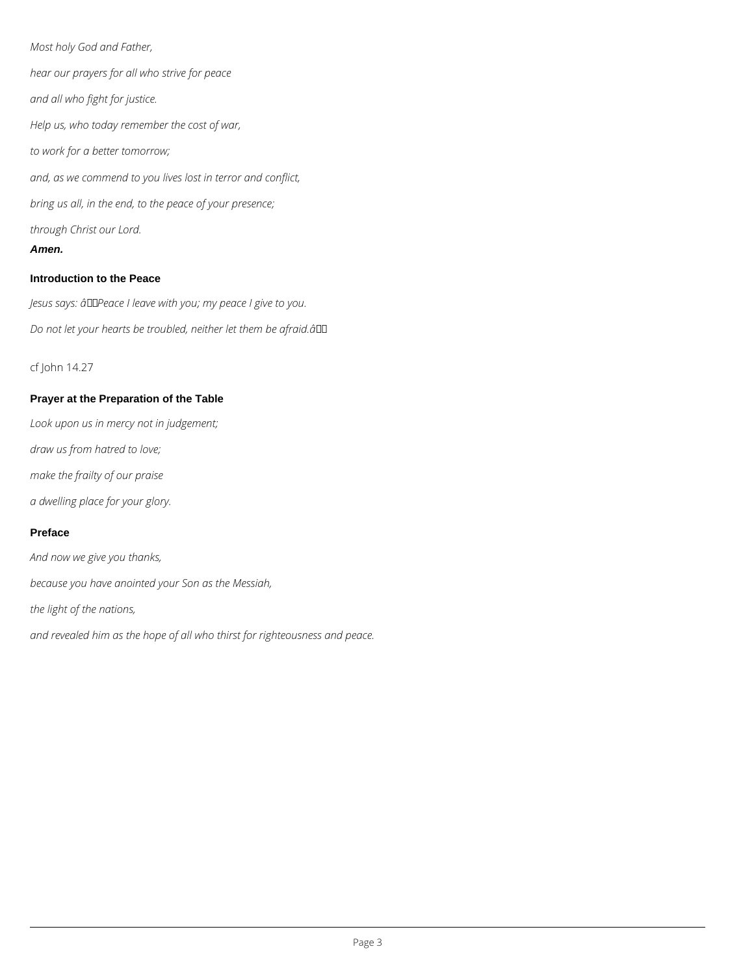*Most holy God and Father, hear our prayers for all who strive for peace and all who fight for justice. Help us, who today remember the cost of war, to work for a better tomorrow; and, as we commend to you lives lost in terror and conflict, bring us all, in the end, to the peace of your presence; through Christ our Lord.* **Amen.**

Jesus says: âDDPeace I leave with you; my peace I give to you. *Do not let your hearts be troubled, neither let them be afraid.â*

#### **Introduction to the Peace**

cf John 14.27

#### **Prayer at the Preparation of the Table**

*Look upon us in mercy not in judgement;*

*draw us from hatred to love;*

*make the frailty of our praise*

*a dwelling place for your glory.*

#### **Preface**

*And now we give you thanks,*

*because you have anointed your Son as the Messiah,*

*the light of the nations,*

*and revealed him as the hope of all who thirst for righteousness and peace.*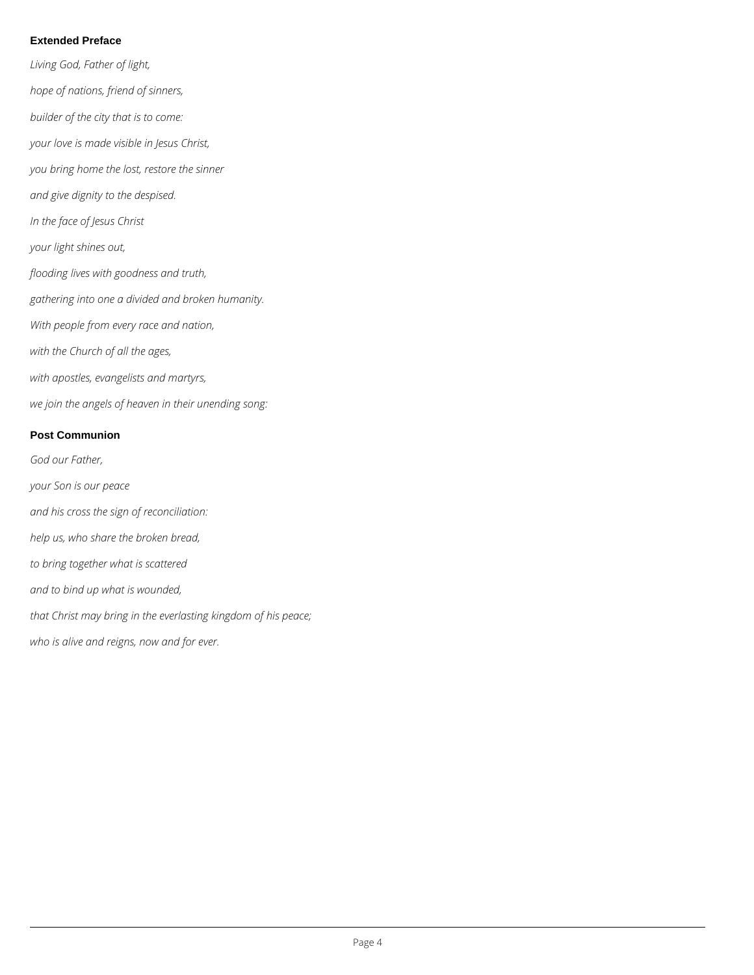#### **Extended Preface**

- *Living God, Father of light, hope of nations, friend of sinners, builder of the city that is to come: your love is made visible in Jesus Christ, you bring home the lost, restore the sinner and give dignity to the despised. In the face of Jesus Christ your light shines out, flooding lives with goodness and truth, gathering into one a divided and broken humanity. With people from every race and nation, with the Church of all the ages, with apostles, evangelists and martyrs, we join the angels of heaven in their unending song:* **Post Communion** *God our Father,*
- *your Son is our peace*
- *and his cross the sign of reconciliation:*
- *help us, who share the broken bread,*
- *to bring together what is scattered*
- *and to bind up what is wounded,*
- *that Christ may bring in the everlasting kingdom of his peace;*
- *who is alive and reigns, now and for ever.*